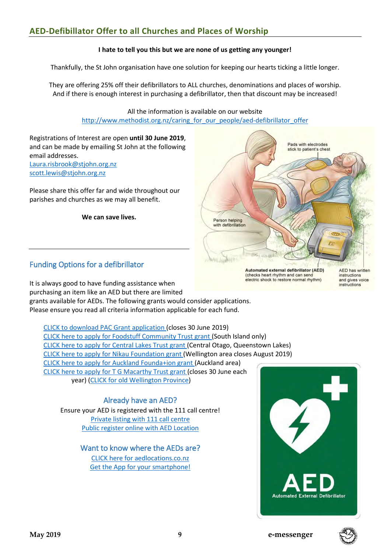## **AED-Defibillator Offer to all Churches and Places of Worship**

#### **I hate to tell you this but we are none of us getting any younger!**

Thankfully, the St John organisation have one solution for keeping our hearts ticking a little longer.

They are offering 25% off their defibrillators to ALL churches, denominations and places of worship. And if there is enough interest in purchasing a defibrillator, then that discount may be increased!

> All the information is available on our website [http://www.methodist.org.nz/caring\\_for\\_our\\_people/aed-defibrillator\\_offer](http://www.methodist.org.nz/caring_for_our_people/aed-defibrillator_offer)

Registrations of Interest are open **until 30 June 2019**, and can be made by emailing St John at the following email addresses. [Laura.risbrook@stjohn.org.nz](mailto:Laura.risbrook@stjohn.org.nz?subject=Church%20AED%20offer%20-%20Registration%20of%20Interest) [scott.lewis@stjohn.org.nz](mailto:scott.lewis@stjohn.org.nz?subject=Church%20AED%20offer%20-%20Registration%20of%20Interest)

Please share this offer far and wide throughout our parishes and churches as we may all benefit.

**We can save lives.**



Funding Options for a defibrillator

It is always good to have funding assistance when purchasing an item like an AED but there are limited grants available for AEDs. The following grants would consider applications. Please ensure you read all criteria information applicable for each fund.

[CLICK to download PAC Grant application \(](http://www.methodist.org.nz/files/docs/mcnz%20admin%20office/pac/pac%20funding%20request%20instructions%20incl%20cover%20sheet%202019.doc)closes 30 June 2019) [CLICK here to apply for Foodstuff Community Trust grant \(](https://www.foodstuffs-si.co.nz/about-us/foodstuffs-community-trust)South Island only) [CLICK here to apply for Central Lakes Trust grant \(](https://www.clt.net.nz/the-grant-process)Central Otago, Queenstown Lakes) [CLICK here to apply for Nikau Foundation grant \(](https://secure.fundraiserpro.com/AcquisitionNikau/)Wellington area closes August 2019) [CLICK here to apply for Auckland Founda+ion grant \(](https://aucklandfoundation.org.nz/apply-for-grants)Auckland area) [CLICK here to apply for T G Macarthy Trust grant \(](https://www.publictrust.co.nz/grants/how-do-i-find-one)closes 30 June each year) [\(CLICK for old Wellington Province\)](https://www.publictrust.co.nz/__data/assets/image/0017/109007/wellington-region.jpg)

#### Already have an AED?

Ensure your AED is registered with the 111 call centre! [Private listing with 111 call centre](https://www.stjohn.org.nz/globalassets/documents/aed-registration-form_final.pdf) [Public register online with AED Location](https://aedlocations.co.nz/form/)

### Want to know where the AEDs are? [CLICK here for aedlocations.co.nz](https://aedlocations.co.nz/form/) [Get the App for your smartphone!](https://www.healthnavigator.org.nz/apps-videos/a/aed-locations-app/)





instructions